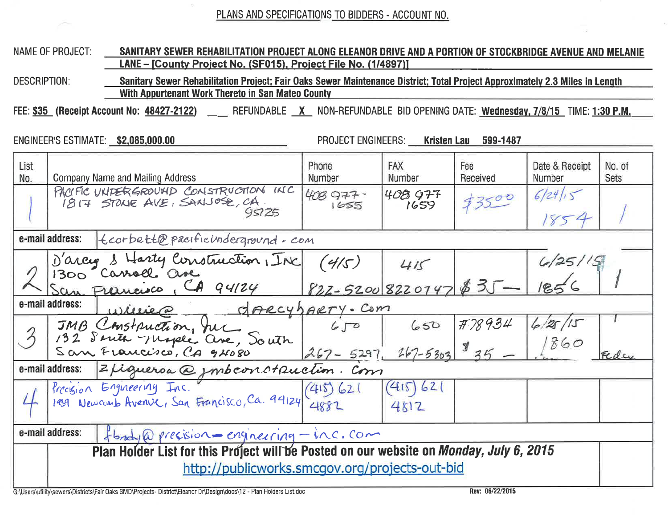PLANS AND SPECIFICATIONS TO BIDDERS - ACCOUNT NO.

## **NAME OF PROJECT:** SANITARY SEWER REHABILITATION PROJECT ALONG ELEANOR DRIVE AND A PORTION OF STOCKBRIDGE AVENUE AND MELANIE LANE - [County Project No. (SF015), Project File No. (1/4897)]

**DESCRIPTION:** Sanitary Sewer Rehabilitation Project; Fair Oaks Sewer Maintenance District; Total Project Approximately 2.3 Miles in Length With Appurtenant Work Thereto in San Mateo County

FEE: \$35 (Receipt Account No: 48427-2122) REFUNDABLE X NON-REFUNDABLE BID OPENING DATE: Wednesday, 7/8/15 TIME: 1:30 P.M.

ENGINEER'S ESTIMATE: \$2,085,000.00

**PROJECT ENGINEERS: Kristen Lau** 

599-1487

| List<br>No.                                                     | <b>Company Name and Mailing Address</b>                                                 | Phone<br>Number                 | <b>FAX</b><br>Number | Fee<br>Received | Date & Receipt<br>Number | No. of<br><b>Sets</b> |  |  |  |  |
|-----------------------------------------------------------------|-----------------------------------------------------------------------------------------|---------------------------------|----------------------|-----------------|--------------------------|-----------------------|--|--|--|--|
|                                                                 | PACIFIC UNDERGROUND CONSTRUCTION INC<br>1817 STONE AVE, SANJOSE, CA.<br>95125           | 408 977.<br>1655                | 408 977<br>1659      | 73500           | 6/24/15<br>1854          |                       |  |  |  |  |
| e-mail address:<br>teorbett@pacificinderground-com              |                                                                                         |                                 |                      |                 |                          |                       |  |  |  |  |
|                                                                 | D'arcy & Harty Construction, INC                                                        | (4/5)                           | 415                  |                 | 6/25/15                  |                       |  |  |  |  |
|                                                                 | San Francisco, CA 94124                                                                 | $822 - 52008220747835$          |                      |                 |                          |                       |  |  |  |  |
| e-mail address:<br>OPRCYDARTY. Com<br>Willie @                  |                                                                                         |                                 |                      |                 |                          |                       |  |  |  |  |
|                                                                 |                                                                                         | 650                             | 650                  | <b>#78934</b>   | 6/25/15                  |                       |  |  |  |  |
| $\mathcal{Z}$                                                   | JMB Construction, Jul<br>132 Suite nique ave, South                                     | $267 - 5297 - 267 - 5303$ \$ 35 |                      |                 | 1860                     |                       |  |  |  |  |
| Z Ligueroa @ imbconstruction. Com<br>e-mail address:            |                                                                                         |                                 |                      |                 |                          |                       |  |  |  |  |
|                                                                 | Precision Engineering Inc.<br>1939 Newcomb Avenue, San Francisco, Ca. 94124 4882        |                                 | (415) 621<br>4812    |                 |                          |                       |  |  |  |  |
| e-mail address:<br>$f$ brody@precision = engineering - inc. com |                                                                                         |                                 |                      |                 |                          |                       |  |  |  |  |
|                                                                 | Plan Holder List for this Project will be Posted on our website on Monday, July 6, 2015 |                                 |                      |                 |                          |                       |  |  |  |  |
|                                                                 | http://publicworks.smcgov.org/projects-out-bid                                          |                                 |                      |                 |                          |                       |  |  |  |  |

G:\Users\utility\sewers\Districts\Fair Oaks SMD\Projects- District\Eleanor Dr\Design\docs\12 - Plan Holders List.doc